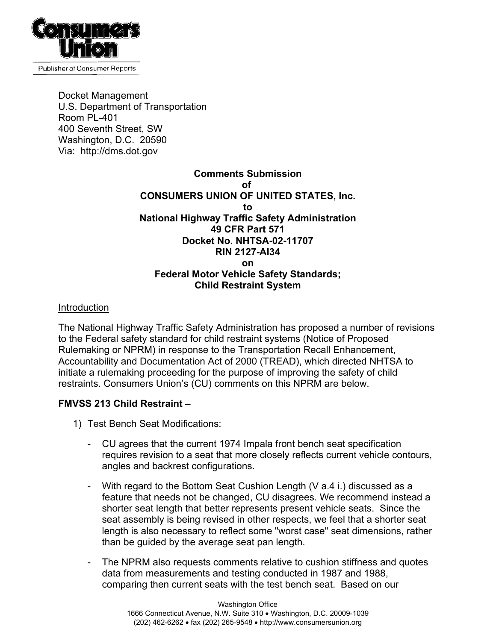

Docket Management U.S. Department of Transportation Room PL-401 400 Seventh Street, SW Washington, D.C. 20590 Via: http://dms.dot.gov

## **Comments Submission of CONSUMERS UNION OF UNITED STATES, Inc. to National Highway Traffic Safety Administration 49 CFR Part 571 Docket No. NHTSA-02-11707 RIN 2127-AI34 on Federal Motor Vehicle Safety Standards; Child Restraint System**

## Introduction

The National Highway Traffic Safety Administration has proposed a number of revisions to the Federal safety standard for child restraint systems (Notice of Proposed Rulemaking or NPRM) in response to the Transportation Recall Enhancement, Accountability and Documentation Act of 2000 (TREAD), which directed NHTSA to initiate a rulemaking proceeding for the purpose of improving the safety of child restraints. Consumers Union's (CU) comments on this NPRM are below.

## **FMVSS 213 Child Restraint –**

- 1) Test Bench Seat Modifications:
	- CU agrees that the current 1974 Impala front bench seat specification requires revision to a seat that more closely reflects current vehicle contours, angles and backrest configurations.
	- With regard to the Bottom Seat Cushion Length (V a.4 i.) discussed as a feature that needs not be changed, CU disagrees. We recommend instead a shorter seat length that better represents present vehicle seats. Since the seat assembly is being revised in other respects, we feel that a shorter seat length is also necessary to reflect some "worst case" seat dimensions, rather than be guided by the average seat pan length.
	- The NPRM also requests comments relative to cushion stiffness and quotes data from measurements and testing conducted in 1987 and 1988, comparing then current seats with the test bench seat. Based on our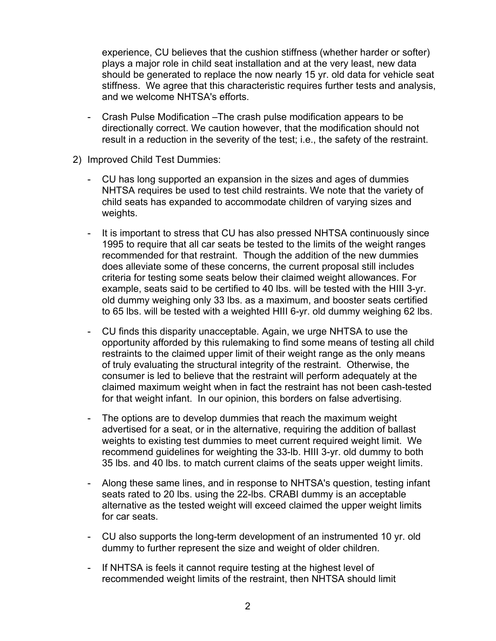experience, CU believes that the cushion stiffness (whether harder or softer) plays a major role in child seat installation and at the very least, new data should be generated to replace the now nearly 15 yr. old data for vehicle seat stiffness. We agree that this characteristic requires further tests and analysis, and we welcome NHTSA's efforts.

- Crash Pulse Modification –The crash pulse modification appears to be directionally correct. We caution however, that the modification should not result in a reduction in the severity of the test; i.e., the safety of the restraint.
- 2) Improved Child Test Dummies:
	- CU has long supported an expansion in the sizes and ages of dummies NHTSA requires be used to test child restraints. We note that the variety of child seats has expanded to accommodate children of varying sizes and weights.
	- It is important to stress that CU has also pressed NHTSA continuously since 1995 to require that all car seats be tested to the limits of the weight ranges recommended for that restraint. Though the addition of the new dummies does alleviate some of these concerns, the current proposal still includes criteria for testing some seats below their claimed weight allowances. For example, seats said to be certified to 40 lbs. will be tested with the HIII 3-yr. old dummy weighing only 33 lbs. as a maximum, and booster seats certified to 65 lbs. will be tested with a weighted HIII 6-yr. old dummy weighing 62 lbs.
	- CU finds this disparity unacceptable. Again, we urge NHTSA to use the opportunity afforded by this rulemaking to find some means of testing all child restraints to the claimed upper limit of their weight range as the only means of truly evaluating the structural integrity of the restraint. Otherwise, the consumer is led to believe that the restraint will perform adequately at the claimed maximum weight when in fact the restraint has not been cash-tested for that weight infant. In our opinion, this borders on false advertising.
	- The options are to develop dummies that reach the maximum weight advertised for a seat, or in the alternative, requiring the addition of ballast weights to existing test dummies to meet current required weight limit. We recommend guidelines for weighting the 33-lb. HIII 3-yr. old dummy to both 35 lbs. and 40 lbs. to match current claims of the seats upper weight limits.
	- Along these same lines, and in response to NHTSA's question, testing infant seats rated to 20 lbs. using the 22-lbs. CRABI dummy is an acceptable alternative as the tested weight will exceed claimed the upper weight limits for car seats.
	- CU also supports the long-term development of an instrumented 10 yr. old dummy to further represent the size and weight of older children.
	- If NHTSA is feels it cannot require testing at the highest level of recommended weight limits of the restraint, then NHTSA should limit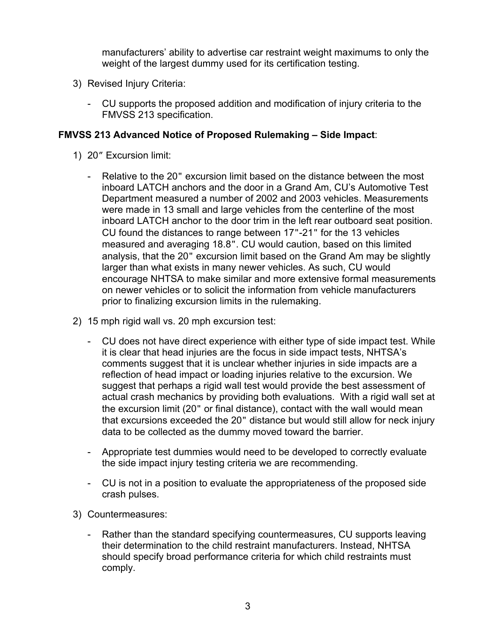manufacturers' ability to advertise car restraint weight maximums to only the weight of the largest dummy used for its certification testing.

- 3) Revised Injury Criteria:
	- CU supports the proposed addition and modification of injury criteria to the FMVSS 213 specification.

## **FMVSS 213 Advanced Notice of Proposed Rulemaking – Side Impact**:

- 1) 20" Excursion limit:
	- Relative to the 20" excursion limit based on the distance between the most inboard LATCH anchors and the door in a Grand Am, CU's Automotive Test Department measured a number of 2002 and 2003 vehicles. Measurements were made in 13 small and large vehicles from the centerline of the most inboard LATCH anchor to the door trim in the left rear outboard seat position. CU found the distances to range between 17"-21" for the 13 vehicles measured and averaging 18.8". CU would caution, based on this limited analysis, that the 20" excursion limit based on the Grand Am may be slightly larger than what exists in many newer vehicles. As such, CU would encourage NHTSA to make similar and more extensive formal measurements on newer vehicles or to solicit the information from vehicle manufacturers prior to finalizing excursion limits in the rulemaking.
- 2) 15 mph rigid wall vs. 20 mph excursion test:
	- CU does not have direct experience with either type of side impact test. While it is clear that head injuries are the focus in side impact tests, NHTSA's comments suggest that it is unclear whether injuries in side impacts are a reflection of head impact or loading injuries relative to the excursion. We suggest that perhaps a rigid wall test would provide the best assessment of actual crash mechanics by providing both evaluations. With a rigid wall set at the excursion limit (20" or final distance), contact with the wall would mean that excursions exceeded the 20" distance but would still allow for neck injury data to be collected as the dummy moved toward the barrier.
	- Appropriate test dummies would need to be developed to correctly evaluate the side impact injury testing criteria we are recommending.
	- CU is not in a position to evaluate the appropriateness of the proposed side crash pulses.
- 3) Countermeasures:
	- Rather than the standard specifying countermeasures, CU supports leaving their determination to the child restraint manufacturers. Instead, NHTSA should specify broad performance criteria for which child restraints must comply.